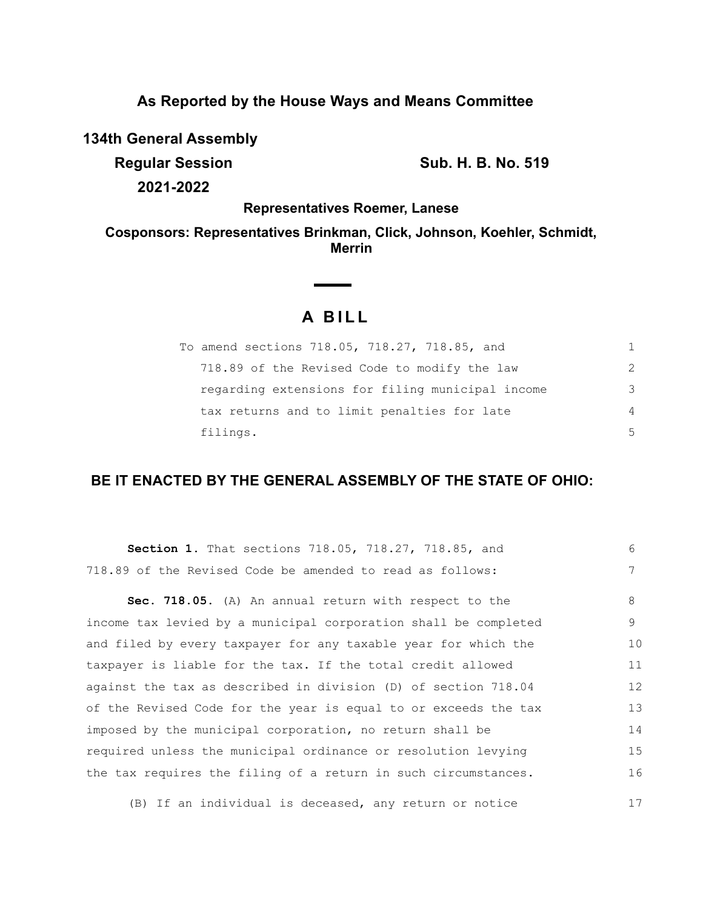## **As Reported by the House Ways and Means Committee**

**134th General Assembly**

**Regular Session Sub. H. B. No. 519 2021-2022**

**Representatives Roemer, Lanese**

**Cosponsors: Representatives Brinkman, Click, Johnson, Koehler, Schmidt, Merrin**

# **A BILL**

**Contract Contract Contract** 

| To amend sections 718.05, 718.27, 718.85, and    | 1.            |
|--------------------------------------------------|---------------|
| 718.89 of the Revised Code to modify the law     | $\mathcal{L}$ |
| regarding extensions for filing municipal income | 3             |
| tax returns and to limit penalties for late      | 4             |
| filings.                                         | .5            |

## **BE IT ENACTED BY THE GENERAL ASSEMBLY OF THE STATE OF OHIO:**

| Section 1. That sections 718.05, 718.27, 718.85, and            | 6  |
|-----------------------------------------------------------------|----|
| 718.89 of the Revised Code be amended to read as follows:       | 7  |
| Sec. 718.05. (A) An annual return with respect to the           | 8  |
| income tax levied by a municipal corporation shall be completed | 9  |
| and filed by every taxpayer for any taxable year for which the  | 10 |
| taxpayer is liable for the tax. If the total credit allowed     | 11 |
| against the tax as described in division (D) of section 718.04  | 12 |
| of the Revised Code for the year is equal to or exceeds the tax | 13 |
| imposed by the municipal corporation, no return shall be        | 14 |
| required unless the municipal ordinance or resolution levying   | 15 |
| the tax requires the filing of a return in such circumstances.  | 16 |
|                                                                 |    |

(B) If an individual is deceased, any return or notice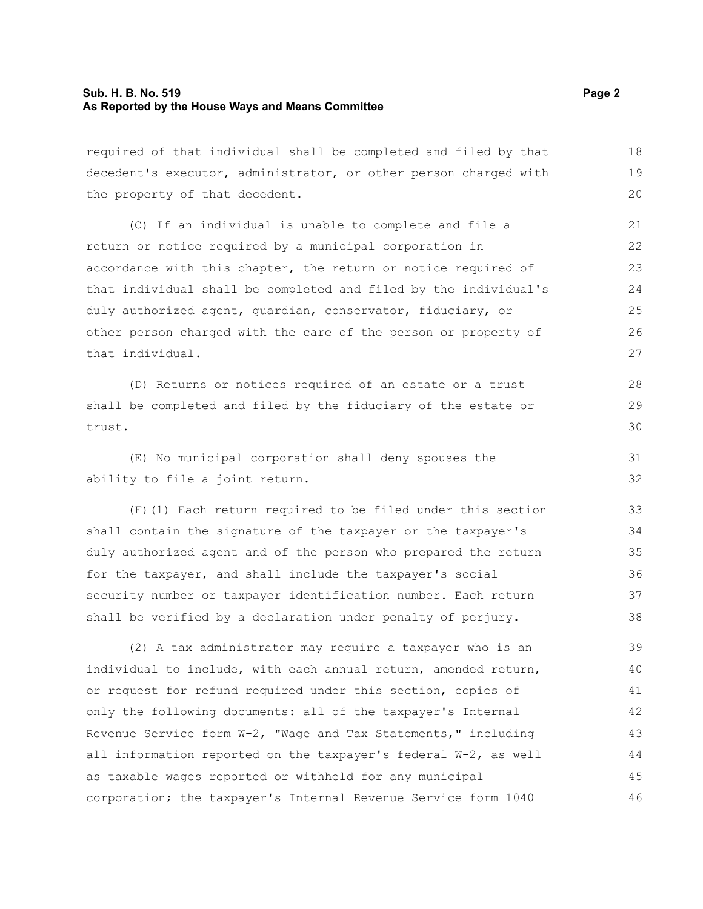#### **Sub. H. B. No. 519 Page 2 As Reported by the House Ways and Means Committee**

required of that individual shall be completed and filed by that decedent's executor, administrator, or other person charged with the property of that decedent. 18 19 20

(C) If an individual is unable to complete and file a return or notice required by a municipal corporation in accordance with this chapter, the return or notice required of that individual shall be completed and filed by the individual's duly authorized agent, guardian, conservator, fiduciary, or other person charged with the care of the person or property of that individual.

(D) Returns or notices required of an estate or a trust shall be completed and filed by the fiduciary of the estate or trust.

(E) No municipal corporation shall deny spouses the ability to file a joint return.

(F)(1) Each return required to be filed under this section shall contain the signature of the taxpayer or the taxpayer's duly authorized agent and of the person who prepared the return for the taxpayer, and shall include the taxpayer's social security number or taxpayer identification number. Each return shall be verified by a declaration under penalty of perjury. 33 34 35 36 37 38

(2) A tax administrator may require a taxpayer who is an individual to include, with each annual return, amended return, or request for refund required under this section, copies of only the following documents: all of the taxpayer's Internal Revenue Service form W-2, "Wage and Tax Statements," including all information reported on the taxpayer's federal W-2, as well as taxable wages reported or withheld for any municipal corporation; the taxpayer's Internal Revenue Service form 1040 39 40 41 42 43 44 45 46

28 29 30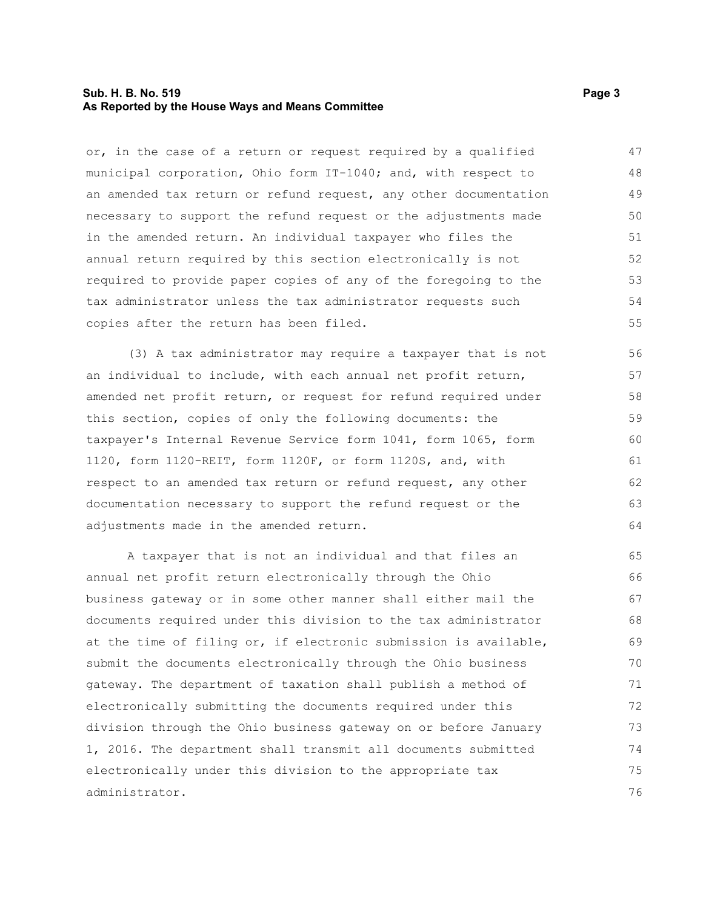#### **Sub. H. B. No. 519 Page 3 As Reported by the House Ways and Means Committee**

or, in the case of a return or request required by a qualified municipal corporation, Ohio form IT-1040; and, with respect to an amended tax return or refund request, any other documentation necessary to support the refund request or the adjustments made in the amended return. An individual taxpayer who files the annual return required by this section electronically is not required to provide paper copies of any of the foregoing to the tax administrator unless the tax administrator requests such copies after the return has been filed. 47 48 49 50 51 52 53 54 55

(3) A tax administrator may require a taxpayer that is not an individual to include, with each annual net profit return, amended net profit return, or request for refund required under this section, copies of only the following documents: the taxpayer's Internal Revenue Service form 1041, form 1065, form 1120, form 1120-REIT, form 1120F, or form 1120S, and, with respect to an amended tax return or refund request, any other documentation necessary to support the refund request or the adjustments made in the amended return.

A taxpayer that is not an individual and that files an annual net profit return electronically through the Ohio business gateway or in some other manner shall either mail the documents required under this division to the tax administrator at the time of filing or, if electronic submission is available, submit the documents electronically through the Ohio business gateway. The department of taxation shall publish a method of electronically submitting the documents required under this division through the Ohio business gateway on or before January 1, 2016. The department shall transmit all documents submitted electronically under this division to the appropriate tax administrator. 65 66 67 68 69 70 71 72 73 74 75 76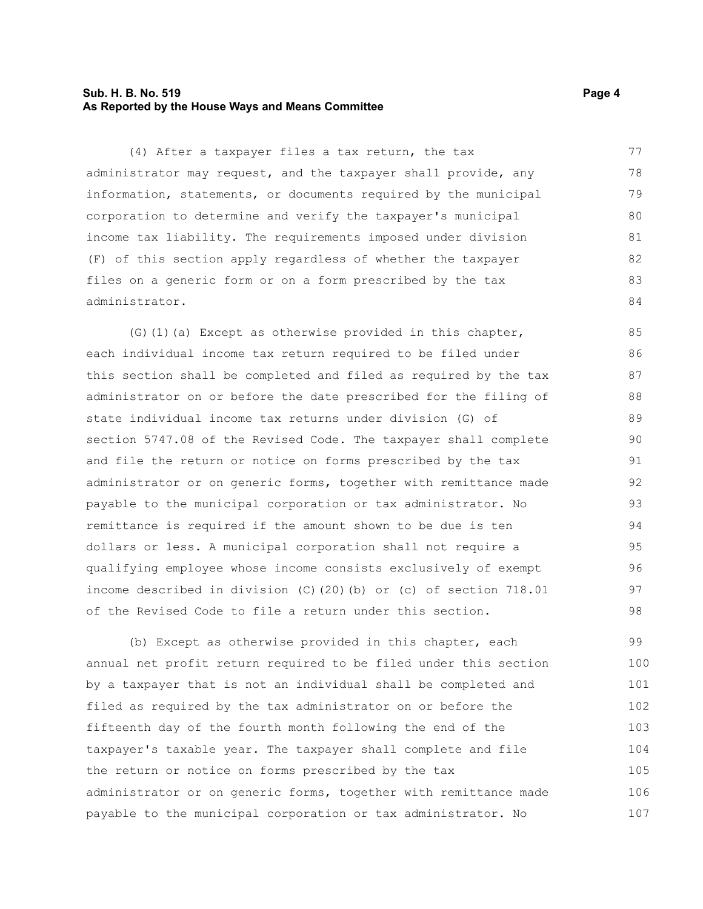#### **Sub. H. B. No. 519 Page 4 As Reported by the House Ways and Means Committee**

(4) After a taxpayer files a tax return, the tax administrator may request, and the taxpayer shall provide, any information, statements, or documents required by the municipal corporation to determine and verify the taxpayer's municipal income tax liability. The requirements imposed under division (F) of this section apply regardless of whether the taxpayer files on a generic form or on a form prescribed by the tax administrator. 77 78 79 80 81 82 83 84

(G)(1)(a) Except as otherwise provided in this chapter, each individual income tax return required to be filed under this section shall be completed and filed as required by the tax administrator on or before the date prescribed for the filing of state individual income tax returns under division (G) of section 5747.08 of the Revised Code. The taxpayer shall complete and file the return or notice on forms prescribed by the tax administrator or on generic forms, together with remittance made payable to the municipal corporation or tax administrator. No remittance is required if the amount shown to be due is ten dollars or less. A municipal corporation shall not require a qualifying employee whose income consists exclusively of exempt income described in division (C)(20)(b) or (c) of section 718.01 of the Revised Code to file a return under this section.

(b) Except as otherwise provided in this chapter, each annual net profit return required to be filed under this section by a taxpayer that is not an individual shall be completed and filed as required by the tax administrator on or before the fifteenth day of the fourth month following the end of the taxpayer's taxable year. The taxpayer shall complete and file the return or notice on forms prescribed by the tax administrator or on generic forms, together with remittance made payable to the municipal corporation or tax administrator. No 99 100 101 102 103 104 105 106 107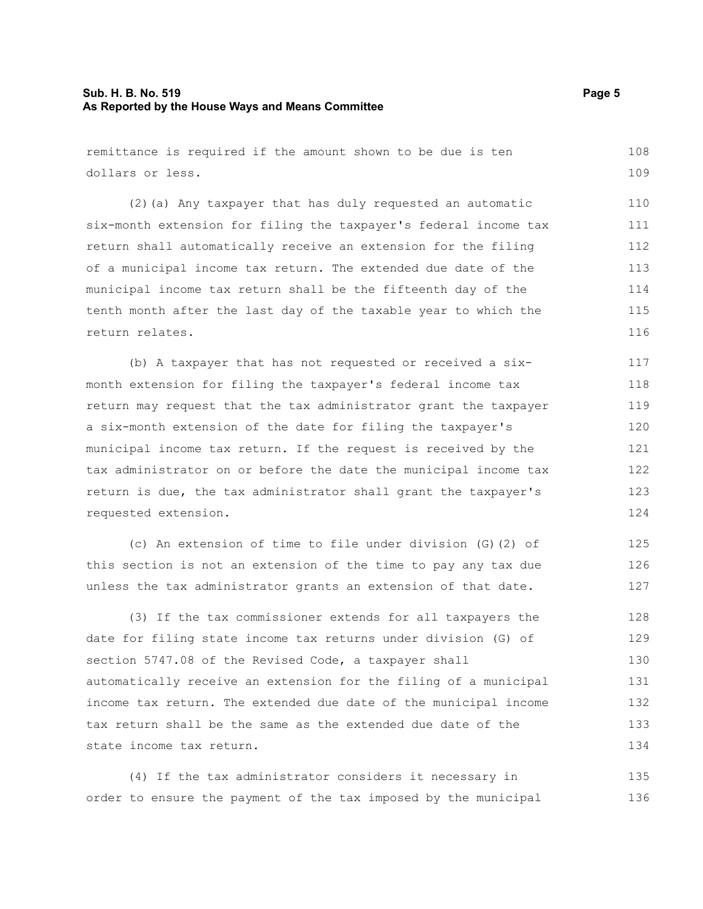### **Sub. H. B. No. 519 Page 5 As Reported by the House Ways and Means Committee**

remittance is required if the amount shown to be due is ten dollars or less. 108 109

(2)(a) Any taxpayer that has duly requested an automatic six-month extension for filing the taxpayer's federal income tax return shall automatically receive an extension for the filing of a municipal income tax return. The extended due date of the municipal income tax return shall be the fifteenth day of the tenth month after the last day of the taxable year to which the return relates. 110 111 112 113 114 115 116

(b) A taxpayer that has not requested or received a sixmonth extension for filing the taxpayer's federal income tax return may request that the tax administrator grant the taxpayer a six-month extension of the date for filing the taxpayer's municipal income tax return. If the request is received by the tax administrator on or before the date the municipal income tax return is due, the tax administrator shall grant the taxpayer's requested extension.

(c) An extension of time to file under division (G)(2) of this section is not an extension of the time to pay any tax due unless the tax administrator grants an extension of that date. 125 126 127

(3) If the tax commissioner extends for all taxpayers the date for filing state income tax returns under division (G) of section 5747.08 of the Revised Code, a taxpayer shall automatically receive an extension for the filing of a municipal income tax return. The extended due date of the municipal income tax return shall be the same as the extended due date of the state income tax return. 128 129 130 131 132 133 134

(4) If the tax administrator considers it necessary in order to ensure the payment of the tax imposed by the municipal 135 136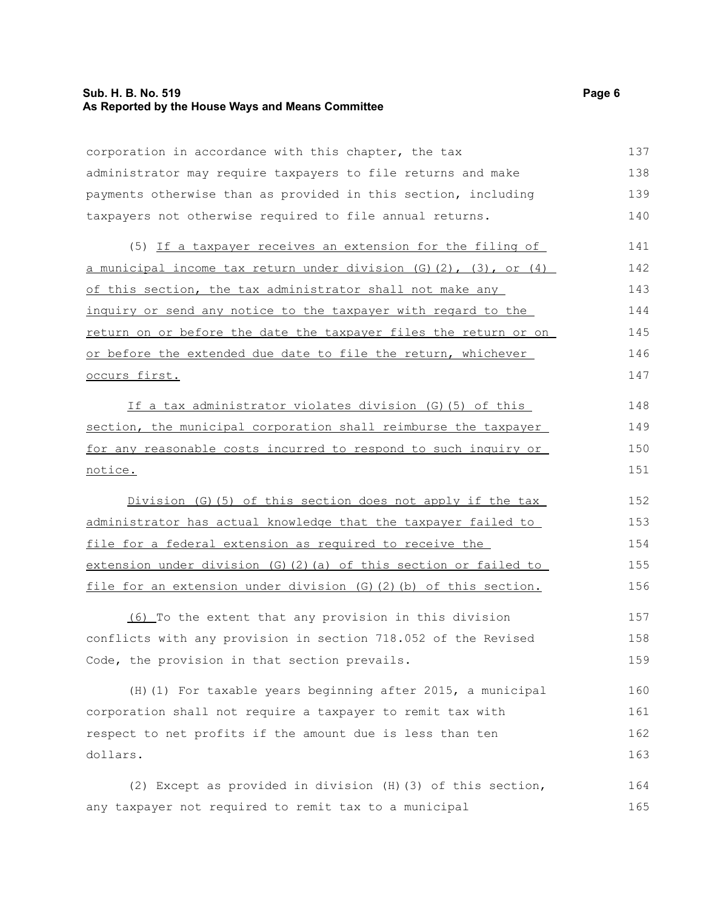#### **Sub. H. B. No. 519 Page 6 As Reported by the House Ways and Means Committee**

corporation in accordance with this chapter, the tax administrator may require taxpayers to file returns and make payments otherwise than as provided in this section, including taxpayers not otherwise required to file annual returns. 137 138 139 140

(5) If a taxpayer receives an extension for the filing of a municipal income tax return under division  $(G)(2)$ ,  $(3)$ , or  $(4)$ of this section, the tax administrator shall not make any inquiry or send any notice to the taxpayer with regard to the return on or before the date the taxpayer files the return or on or before the extended due date to file the return, whichever occurs first. 141 142 143 144 145 146 147

If a tax administrator violates division (G)(5) of this section, the municipal corporation shall reimburse the taxpayer for any reasonable costs incurred to respond to such inquiry or notice.

Division (G)(5) of this section does not apply if the tax administrator has actual knowledge that the taxpayer failed to file for a federal extension as required to receive the extension under division (G)(2)(a) of this section or failed to file for an extension under division (G)(2)(b) of this section. 152 153 154 155 156

(6) To the extent that any provision in this division conflicts with any provision in section 718.052 of the Revised Code, the provision in that section prevails. 157 158 159

(H)(1) For taxable years beginning after 2015, a municipal corporation shall not require a taxpayer to remit tax with respect to net profits if the amount due is less than ten dollars. 160 161 162 163

(2) Except as provided in division (H)(3) of this section, any taxpayer not required to remit tax to a municipal 164 165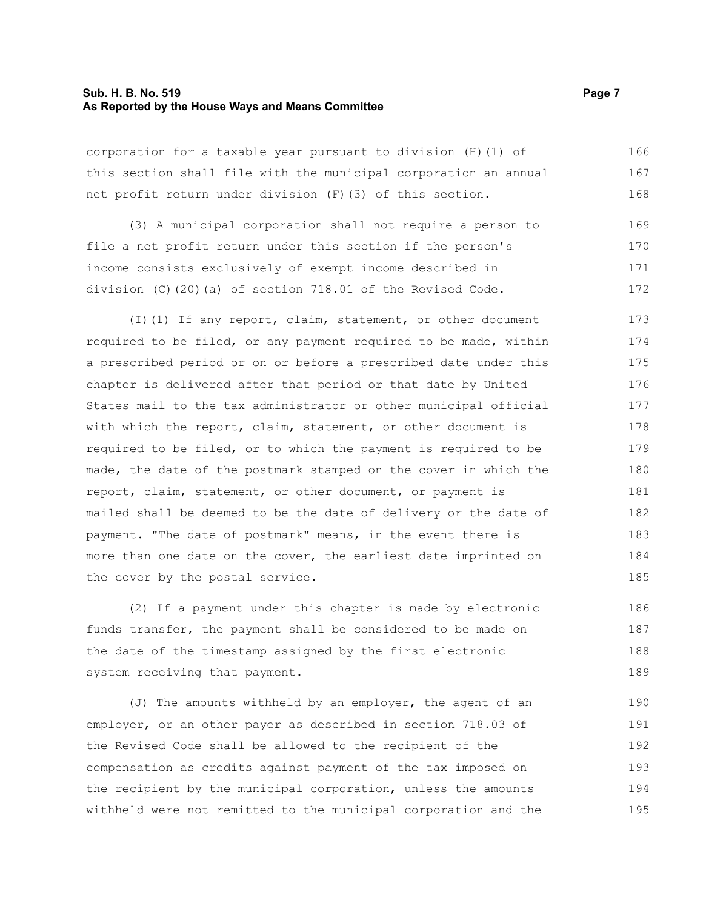#### **Sub. H. B. No. 519 Page 7 As Reported by the House Ways and Means Committee**

corporation for a taxable year pursuant to division (H)(1) of this section shall file with the municipal corporation an annual net profit return under division (F)(3) of this section. 166 167 168

(3) A municipal corporation shall not require a person to file a net profit return under this section if the person's income consists exclusively of exempt income described in division (C)(20)(a) of section 718.01 of the Revised Code. 169 170 171 172

(I)(1) If any report, claim, statement, or other document required to be filed, or any payment required to be made, within a prescribed period or on or before a prescribed date under this chapter is delivered after that period or that date by United States mail to the tax administrator or other municipal official with which the report, claim, statement, or other document is required to be filed, or to which the payment is required to be made, the date of the postmark stamped on the cover in which the report, claim, statement, or other document, or payment is mailed shall be deemed to be the date of delivery or the date of payment. "The date of postmark" means, in the event there is more than one date on the cover, the earliest date imprinted on the cover by the postal service. 173 174 175 176 177 178 179 180 181 182 183 184 185

(2) If a payment under this chapter is made by electronic funds transfer, the payment shall be considered to be made on the date of the timestamp assigned by the first electronic system receiving that payment. 186 187 188 189

(J) The amounts withheld by an employer, the agent of an employer, or an other payer as described in section 718.03 of the Revised Code shall be allowed to the recipient of the compensation as credits against payment of the tax imposed on the recipient by the municipal corporation, unless the amounts withheld were not remitted to the municipal corporation and the 190 191 192 193 194 195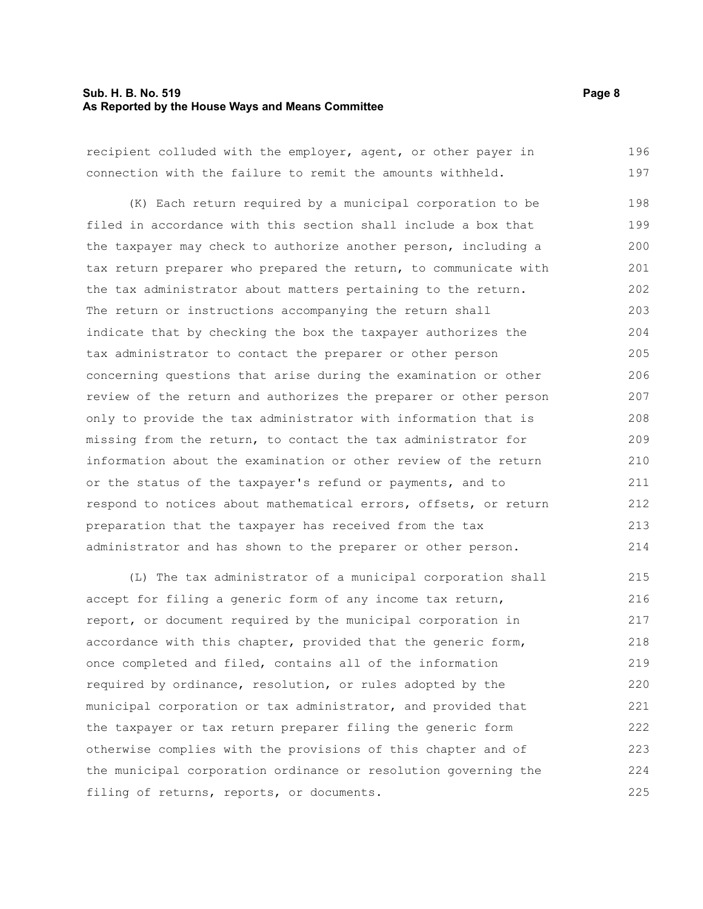#### **Sub. H. B. No. 519 Page 8 As Reported by the House Ways and Means Committee**

recipient colluded with the employer, agent, or other payer in connection with the failure to remit the amounts withheld. 196 197

(K) Each return required by a municipal corporation to be filed in accordance with this section shall include a box that the taxpayer may check to authorize another person, including a tax return preparer who prepared the return, to communicate with the tax administrator about matters pertaining to the return. The return or instructions accompanying the return shall indicate that by checking the box the taxpayer authorizes the tax administrator to contact the preparer or other person concerning questions that arise during the examination or other review of the return and authorizes the preparer or other person only to provide the tax administrator with information that is missing from the return, to contact the tax administrator for information about the examination or other review of the return or the status of the taxpayer's refund or payments, and to respond to notices about mathematical errors, offsets, or return preparation that the taxpayer has received from the tax administrator and has shown to the preparer or other person. 198 199 200 201 202 203 204 205 206 207 208 209 210 211 212 213 214

(L) The tax administrator of a municipal corporation shall accept for filing a generic form of any income tax return, report, or document required by the municipal corporation in accordance with this chapter, provided that the generic form, once completed and filed, contains all of the information required by ordinance, resolution, or rules adopted by the municipal corporation or tax administrator, and provided that the taxpayer or tax return preparer filing the generic form otherwise complies with the provisions of this chapter and of the municipal corporation ordinance or resolution governing the filing of returns, reports, or documents. 215 216 217 218 219 220 221 222 223 224 225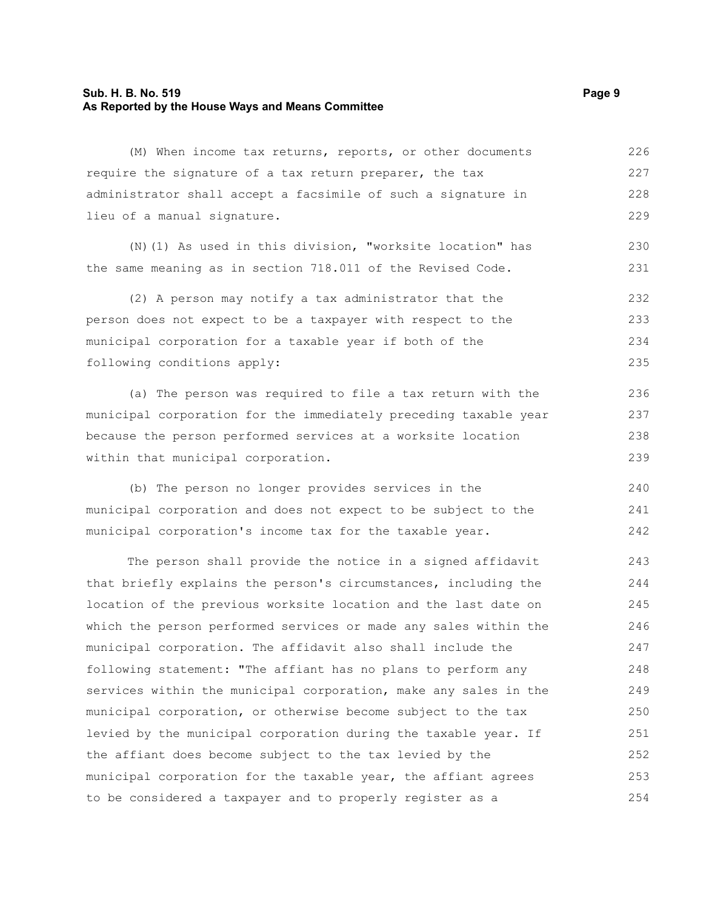#### **Sub. H. B. No. 519 Page 9 As Reported by the House Ways and Means Committee**

(M) When income tax returns, reports, or other documents require the signature of a tax return preparer, the tax administrator shall accept a facsimile of such a signature in lieu of a manual signature. 226 227 228 229

(N)(1) As used in this division, "worksite location" has the same meaning as in section 718.011 of the Revised Code. 230 231

(2) A person may notify a tax administrator that the person does not expect to be a taxpayer with respect to the municipal corporation for a taxable year if both of the following conditions apply: 232 233 234 235

(a) The person was required to file a tax return with the municipal corporation for the immediately preceding taxable year because the person performed services at a worksite location within that municipal corporation.

(b) The person no longer provides services in the municipal corporation and does not expect to be subject to the municipal corporation's income tax for the taxable year. 240 241 242

The person shall provide the notice in a signed affidavit that briefly explains the person's circumstances, including the location of the previous worksite location and the last date on which the person performed services or made any sales within the municipal corporation. The affidavit also shall include the following statement: "The affiant has no plans to perform any services within the municipal corporation, make any sales in the municipal corporation, or otherwise become subject to the tax levied by the municipal corporation during the taxable year. If the affiant does become subject to the tax levied by the municipal corporation for the taxable year, the affiant agrees to be considered a taxpayer and to properly register as a 243 244 245 246 247 248 249 250 251 252 253 254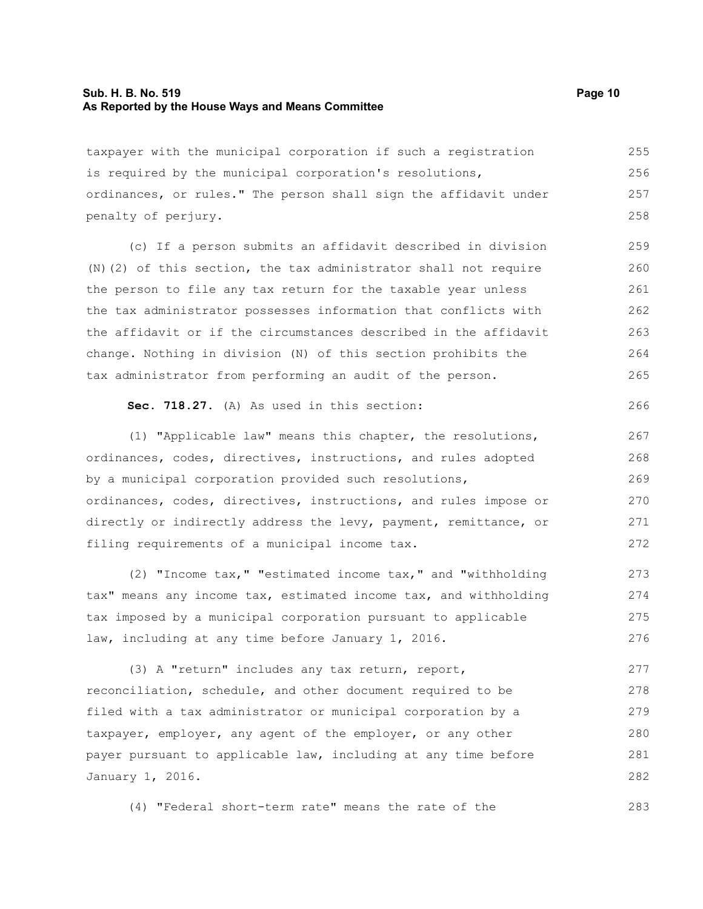#### **Sub. H. B. No. 519 Page 10 As Reported by the House Ways and Means Committee**

taxpayer with the municipal corporation if such a registration is required by the municipal corporation's resolutions, ordinances, or rules." The person shall sign the affidavit under penalty of perjury. 255 256 257 258

(c) If a person submits an affidavit described in division (N)(2) of this section, the tax administrator shall not require the person to file any tax return for the taxable year unless the tax administrator possesses information that conflicts with the affidavit or if the circumstances described in the affidavit change. Nothing in division (N) of this section prohibits the tax administrator from performing an audit of the person. 259 260 261 262 263 264 265

#### **Sec. 718.27.** (A) As used in this section:

(1) "Applicable law" means this chapter, the resolutions, ordinances, codes, directives, instructions, and rules adopted by a municipal corporation provided such resolutions, ordinances, codes, directives, instructions, and rules impose or directly or indirectly address the levy, payment, remittance, or filing requirements of a municipal income tax. 267 268 269 270 271 272

(2) "Income tax," "estimated income tax," and "withholding tax" means any income tax, estimated income tax, and withholding tax imposed by a municipal corporation pursuant to applicable law, including at any time before January 1, 2016. 273 274 275 276

(3) A "return" includes any tax return, report, reconciliation, schedule, and other document required to be filed with a tax administrator or municipal corporation by a taxpayer, employer, any agent of the employer, or any other payer pursuant to applicable law, including at any time before January 1, 2016. 277 278 279 280 281 282

(4) "Federal short-term rate" means the rate of the

266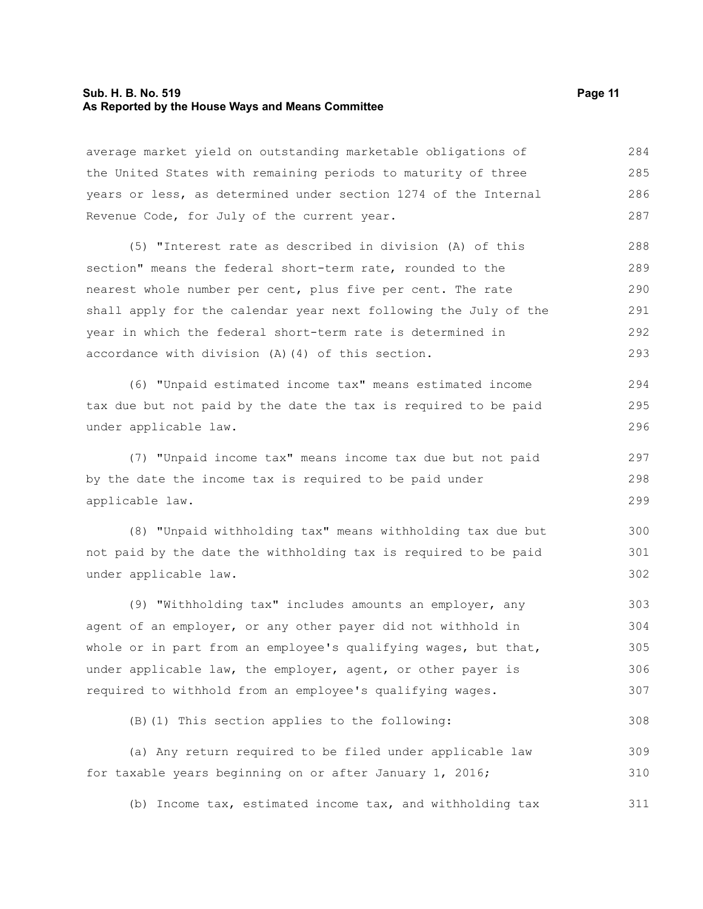#### **Sub. H. B. No. 519 Page 11 As Reported by the House Ways and Means Committee**

average market yield on outstanding marketable obligations of the United States with remaining periods to maturity of three years or less, as determined under section 1274 of the Internal Revenue Code, for July of the current year. 284 285 286 287

(5) "Interest rate as described in division (A) of this section" means the federal short-term rate, rounded to the nearest whole number per cent, plus five per cent. The rate shall apply for the calendar year next following the July of the year in which the federal short-term rate is determined in accordance with division (A)(4) of this section. 288 289 290 291 292 293

(6) "Unpaid estimated income tax" means estimated income tax due but not paid by the date the tax is required to be paid under applicable law. 294 295 296

(7) "Unpaid income tax" means income tax due but not paid by the date the income tax is required to be paid under applicable law.

(8) "Unpaid withholding tax" means withholding tax due but not paid by the date the withholding tax is required to be paid under applicable law. 300 301 302

(9) "Withholding tax" includes amounts an employer, any agent of an employer, or any other payer did not withhold in whole or in part from an employee's qualifying wages, but that, under applicable law, the employer, agent, or other payer is required to withhold from an employee's qualifying wages. 303 304 305 306 307

(B)(1) This section applies to the following:

(a) Any return required to be filed under applicable law for taxable years beginning on or after January 1, 2016; 309 310

(b) Income tax, estimated income tax, and withholding tax 311

297 298 299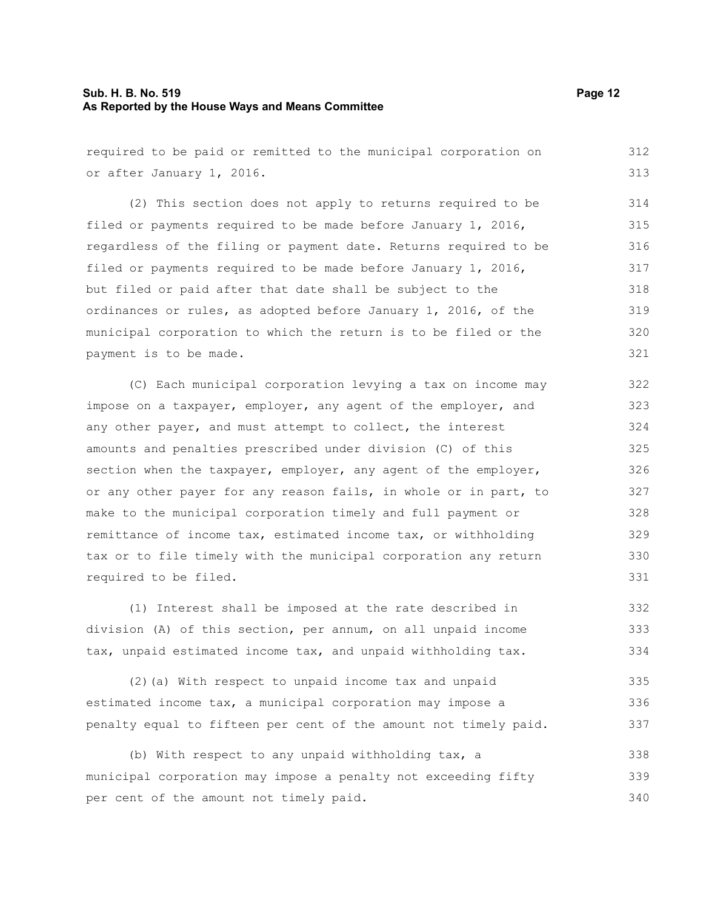#### **Sub. H. B. No. 519 Page 12 As Reported by the House Ways and Means Committee**

required to be paid or remitted to the municipal corporation on or after January 1, 2016. (2) This section does not apply to returns required to be filed or payments required to be made before January 1, 2016, regardless of the filing or payment date. Returns required to be filed or payments required to be made before January 1, 2016, but filed or paid after that date shall be subject to the ordinances or rules, as adopted before January 1, 2016, of the municipal corporation to which the return is to be filed or the payment is to be made. (C) Each municipal corporation levying a tax on income may impose on a taxpayer, employer, any agent of the employer, and any other payer, and must attempt to collect, the interest amounts and penalties prescribed under division (C) of this section when the taxpayer, employer, any agent of the employer, or any other payer for any reason fails, in whole or in part, to make to the municipal corporation timely and full payment or remittance of income tax, estimated income tax, or withholding tax or to file timely with the municipal corporation any return required to be filed. (1) Interest shall be imposed at the rate described in division (A) of this section, per annum, on all unpaid income tax, unpaid estimated income tax, and unpaid withholding tax. 312 313 314 315 316 317 318 319 320 321 322 323 324 325 326 327 328 329 330 331 332 333 334

(2)(a) With respect to unpaid income tax and unpaid estimated income tax, a municipal corporation may impose a penalty equal to fifteen per cent of the amount not timely paid. 335 336 337

(b) With respect to any unpaid withholding tax, a municipal corporation may impose a penalty not exceeding fifty per cent of the amount not timely paid. 338 339 340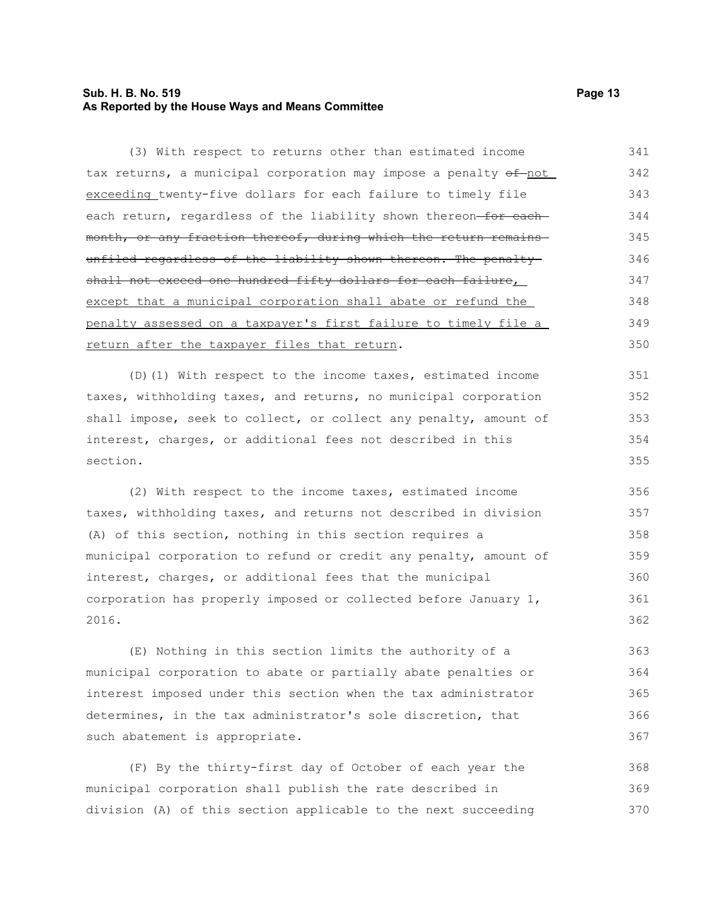#### **Sub. H. B. No. 519 Page 13 As Reported by the House Ways and Means Committee**

(3) With respect to returns other than estimated income tax returns, a municipal corporation may impose a penalty  $\theta$ f-not exceeding twenty-five dollars for each failure to timely file each return, regardless of the liability shown thereon-for eachmonth, or any fraction thereof, during which the return remains unfiled regardless of the liability shown thereon. The penaltyshall not exceed one hundred fifty dollars for each failure, except that a municipal corporation shall abate or refund the penalty assessed on a taxpayer's first failure to timely file a return after the taxpayer files that return. 341 342 343 344 345 346 347 348 349 350

(D)(1) With respect to the income taxes, estimated income taxes, withholding taxes, and returns, no municipal corporation shall impose, seek to collect, or collect any penalty, amount of interest, charges, or additional fees not described in this section.

(2) With respect to the income taxes, estimated income taxes, withholding taxes, and returns not described in division (A) of this section, nothing in this section requires a municipal corporation to refund or credit any penalty, amount of interest, charges, or additional fees that the municipal corporation has properly imposed or collected before January 1, 2016.

(E) Nothing in this section limits the authority of a municipal corporation to abate or partially abate penalties or interest imposed under this section when the tax administrator determines, in the tax administrator's sole discretion, that such abatement is appropriate. 363 364 365 366 367

(F) By the thirty-first day of October of each year the municipal corporation shall publish the rate described in division (A) of this section applicable to the next succeeding 368 369 370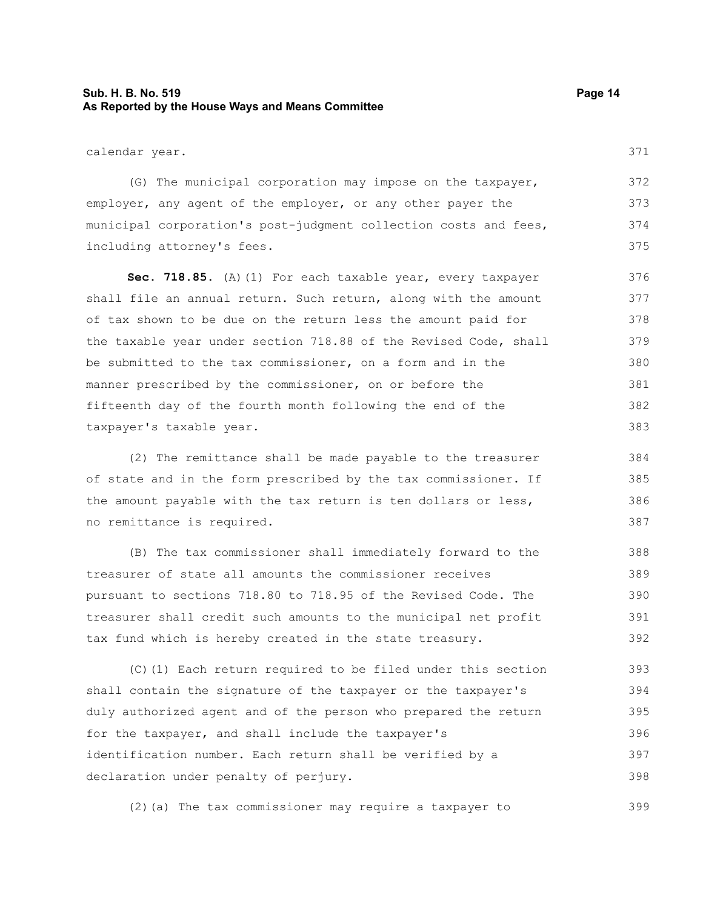## **Sub. H. B. No. 519 Page 14 As Reported by the House Ways and Means Committee**

371

calendar year.

(G) The municipal corporation may impose on the taxpayer, employer, any agent of the employer, or any other payer the municipal corporation's post-judgment collection costs and fees, including attorney's fees. 372 373 374 375

Sec. 718.85. (A)(1) For each taxable year, every taxpayer shall file an annual return. Such return, along with the amount of tax shown to be due on the return less the amount paid for the taxable year under section 718.88 of the Revised Code, shall be submitted to the tax commissioner, on a form and in the manner prescribed by the commissioner, on or before the fifteenth day of the fourth month following the end of the taxpayer's taxable year. 376 377 378 379 380 381 382 383

(2) The remittance shall be made payable to the treasurer of state and in the form prescribed by the tax commissioner. If the amount payable with the tax return is ten dollars or less, no remittance is required. 384 385 386 387

(B) The tax commissioner shall immediately forward to the treasurer of state all amounts the commissioner receives pursuant to sections 718.80 to 718.95 of the Revised Code. The treasurer shall credit such amounts to the municipal net profit tax fund which is hereby created in the state treasury. 388 389 390 391 392

(C)(1) Each return required to be filed under this section shall contain the signature of the taxpayer or the taxpayer's duly authorized agent and of the person who prepared the return for the taxpayer, and shall include the taxpayer's identification number. Each return shall be verified by a declaration under penalty of perjury. 393 394 395 396 397 398

(2)(a) The tax commissioner may require a taxpayer to 399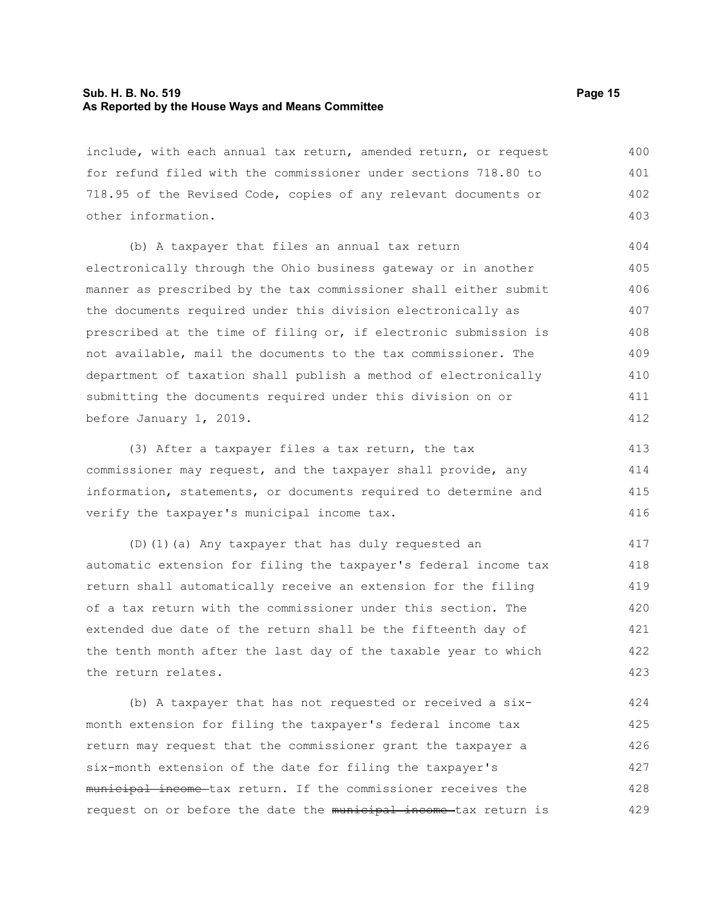#### **Sub. H. B. No. 519 Page 15 As Reported by the House Ways and Means Committee**

include, with each annual tax return, amended return, or request for refund filed with the commissioner under sections 718.80 to 718.95 of the Revised Code, copies of any relevant documents or other information. 400 401 402 403

(b) A taxpayer that files an annual tax return electronically through the Ohio business gateway or in another manner as prescribed by the tax commissioner shall either submit the documents required under this division electronically as prescribed at the time of filing or, if electronic submission is not available, mail the documents to the tax commissioner. The department of taxation shall publish a method of electronically submitting the documents required under this division on or before January 1, 2019.

(3) After a taxpayer files a tax return, the tax commissioner may request, and the taxpayer shall provide, any information, statements, or documents required to determine and verify the taxpayer's municipal income tax. 413 414 415 416

(D)(1)(a) Any taxpayer that has duly requested an automatic extension for filing the taxpayer's federal income tax return shall automatically receive an extension for the filing of a tax return with the commissioner under this section. The extended due date of the return shall be the fifteenth day of the tenth month after the last day of the taxable year to which the return relates. 417 418 419 420 421 422 423

(b) A taxpayer that has not requested or received a sixmonth extension for filing the taxpayer's federal income tax return may request that the commissioner grant the taxpayer a six-month extension of the date for filing the taxpayer's municipal income tax return. If the commissioner receives the request on or before the date the municipal income tax return is 424 425 426 427 428 429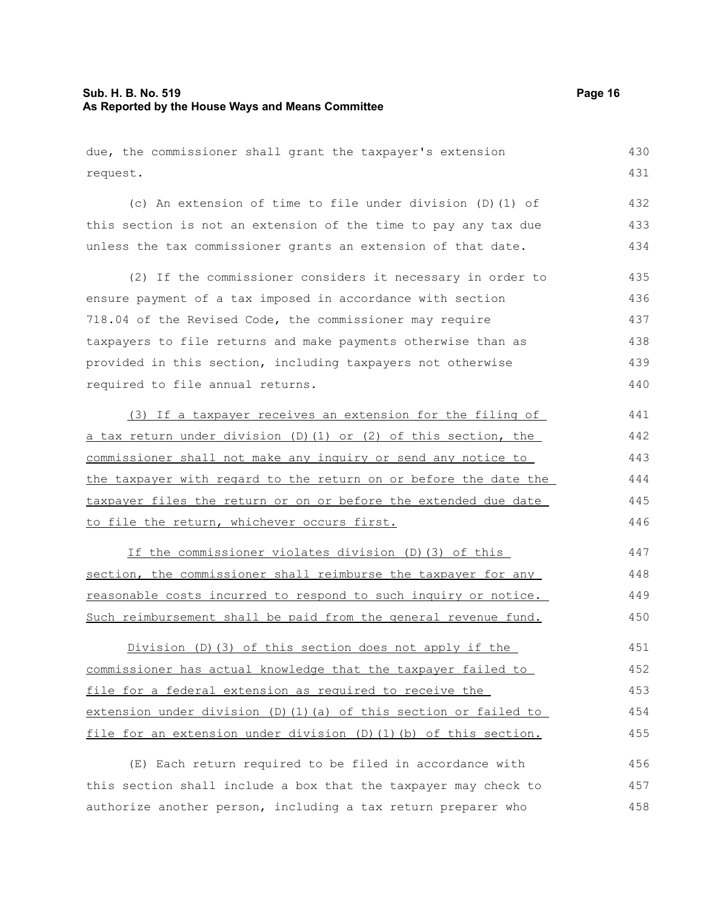### **Sub. H. B. No. 519 Page 16 As Reported by the House Ways and Means Committee**

due, the commissioner shall grant the taxpayer's extension request. (c) An extension of time to file under division (D)(1) of this section is not an extension of the time to pay any tax due unless the tax commissioner grants an extension of that date. (2) If the commissioner considers it necessary in order to ensure payment of a tax imposed in accordance with section 718.04 of the Revised Code, the commissioner may require taxpayers to file returns and make payments otherwise than as provided in this section, including taxpayers not otherwise required to file annual returns. (3) If a taxpayer receives an extension for the filing of a tax return under division (D)(1) or (2) of this section, the commissioner shall not make any inquiry or send any notice to the taxpayer with regard to the return on or before the date the taxpayer files the return or on or before the extended due date to file the return, whichever occurs first. If the commissioner violates division (D)(3) of this section, the commissioner shall reimburse the taxpayer for any reasonable costs incurred to respond to such inquiry or notice. Such reimbursement shall be paid from the general revenue fund. 430 431 432 433 434 435 436 437 438 439 440 441 442 443 444 445 446 447 448 449 450

Division (D)(3) of this section does not apply if the commissioner has actual knowledge that the taxpayer failed to file for a federal extension as required to receive the extension under division (D)(1)(a) of this section or failed to file for an extension under division (D)(1)(b) of this section. 451 452 453 454 455

(E) Each return required to be filed in accordance with this section shall include a box that the taxpayer may check to authorize another person, including a tax return preparer who 456 457 458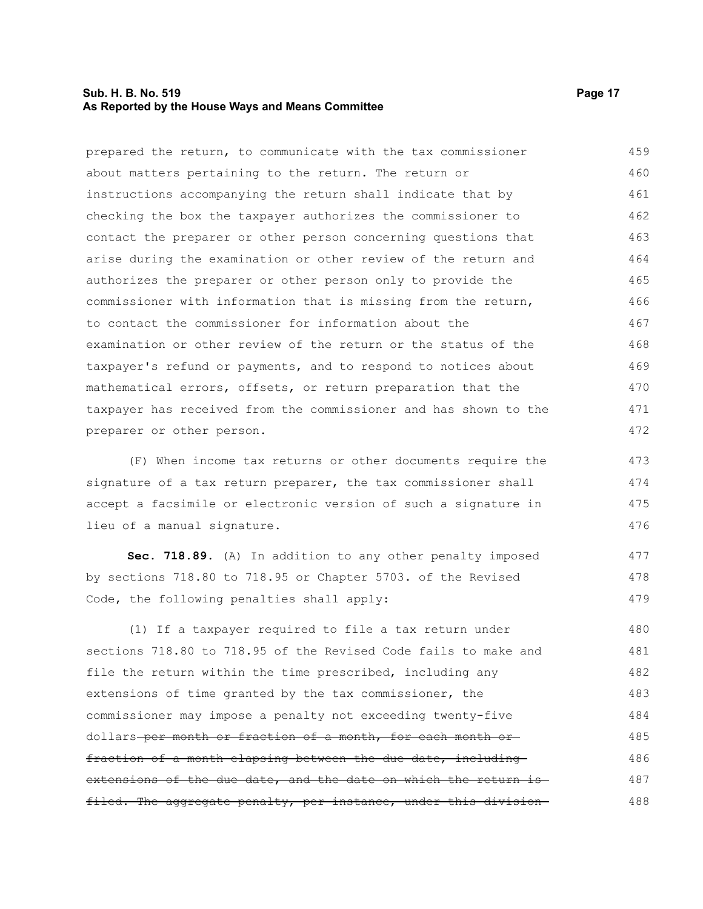#### **Sub. H. B. No. 519 Page 17 As Reported by the House Ways and Means Committee**

prepared the return, to communicate with the tax commissioner about matters pertaining to the return. The return or instructions accompanying the return shall indicate that by checking the box the taxpayer authorizes the commissioner to contact the preparer or other person concerning questions that arise during the examination or other review of the return and authorizes the preparer or other person only to provide the commissioner with information that is missing from the return, to contact the commissioner for information about the examination or other review of the return or the status of the taxpayer's refund or payments, and to respond to notices about mathematical errors, offsets, or return preparation that the taxpayer has received from the commissioner and has shown to the preparer or other person. 459 460 461 462 463 464 465 466 467 468 469 470 471 472

(F) When income tax returns or other documents require the signature of a tax return preparer, the tax commissioner shall accept a facsimile or electronic version of such a signature in lieu of a manual signature. 473 474 475 476

**Sec. 718.89.** (A) In addition to any other penalty imposed by sections 718.80 to 718.95 or Chapter 5703. of the Revised Code, the following penalties shall apply:

(1) If a taxpayer required to file a tax return under sections 718.80 to 718.95 of the Revised Code fails to make and file the return within the time prescribed, including any extensions of time granted by the tax commissioner, the commissioner may impose a penalty not exceeding twenty-five dollars per month or fraction of a month, for each month or fraction of a month elapsing between the due date, including extensions of the due date, and the date on which the return isfiled. The aggregate penalty, per instance, under this division-480 481 482 483 484 485 486 487 488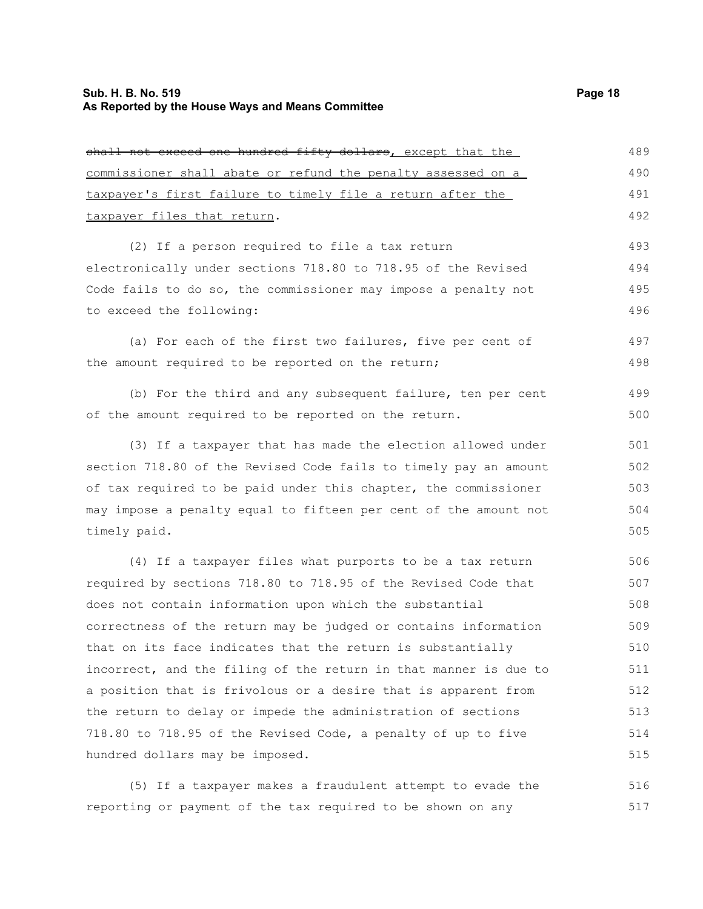| <u>shall not exceed one hundred fifty dollars, except that the </u> | 489 |
|---------------------------------------------------------------------|-----|
| commissioner shall abate or refund the penalty assessed on a        | 490 |
| taxpayer's first failure to timely file a return after the          | 491 |
| taxpayer files that return.                                         | 492 |
| (2) If a person required to file a tax return                       | 493 |
| electronically under sections 718.80 to 718.95 of the Revised       | 494 |
| Code fails to do so, the commissioner may impose a penalty not      | 495 |
| to exceed the following:                                            | 496 |
| (a) For each of the first two failures, five per cent of            | 497 |
| the amount required to be reported on the return;                   | 498 |
| (b) For the third and any subsequent failure, ten per cent          | 499 |
| of the amount required to be reported on the return.                | 500 |
| (3) If a taxpayer that has made the election allowed under          | 501 |
| section 718.80 of the Revised Code fails to timely pay an amount    | 502 |
| of tax required to be paid under this chapter, the commissioner     | 503 |
| may impose a penalty equal to fifteen per cent of the amount not    | 504 |
| timely paid.                                                        | 505 |
| (4) If a taxpayer files what purports to be a tax return            | 506 |
| required by sections 718.80 to 718.95 of the Revised Code that      | 507 |
| does not contain information upon which the substantial             | 508 |
| correctness of the return may be judged or contains information     | 509 |
| that on its face indicates that the return is substantially         | 510 |
| incorrect, and the filing of the return in that manner is due to    | 511 |
| a nosition that is frivolous or a desire that is annarent from      | 512 |

required by sections 718.80 to 718.95 of the Revised Code that does not contain information upon which the substantial correctness of the return may be judged or contains information that on its face indicates that the return is substantially incorrect, and the filing of the return in that manner is due to a position that is frivolous or a desire that is apparent from the return to delay or impede the administration of sections 718.80 to 718.95 of the Revised Code, a penalty of up to five hundred dollars may be imposed. 512 513 514 515

(5) If a taxpayer makes a fraudulent attempt to evade the reporting or payment of the tax required to be shown on any 516 517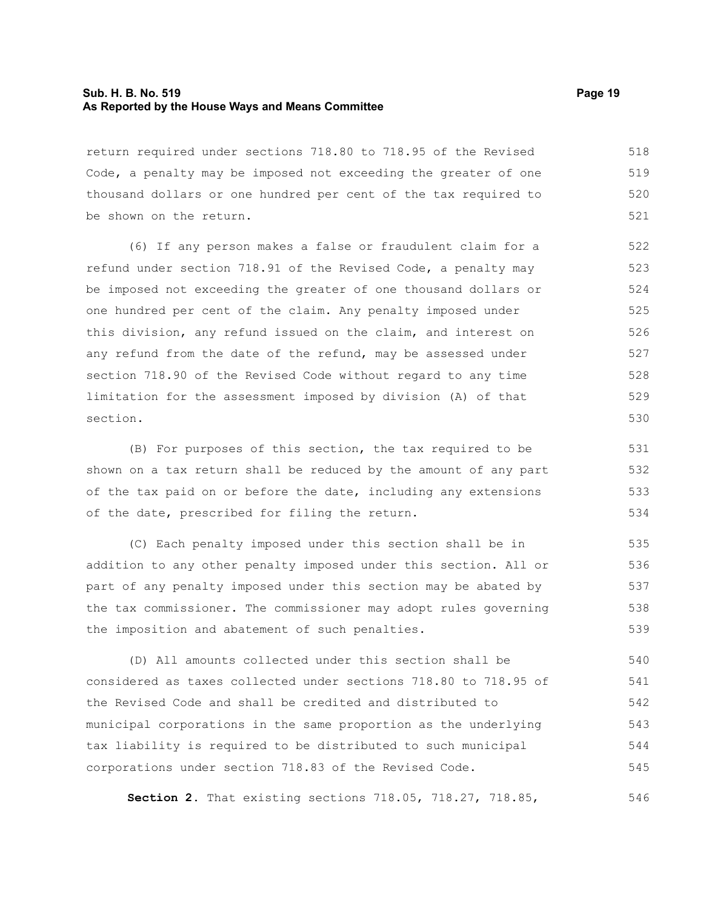#### **Sub. H. B. No. 519 Page 19 As Reported by the House Ways and Means Committee**

return required under sections 718.80 to 718.95 of the Revised Code, a penalty may be imposed not exceeding the greater of one thousand dollars or one hundred per cent of the tax required to be shown on the return. 518 519 520 521

(6) If any person makes a false or fraudulent claim for a refund under section 718.91 of the Revised Code, a penalty may be imposed not exceeding the greater of one thousand dollars or one hundred per cent of the claim. Any penalty imposed under this division, any refund issued on the claim, and interest on any refund from the date of the refund, may be assessed under section 718.90 of the Revised Code without regard to any time limitation for the assessment imposed by division (A) of that section.

(B) For purposes of this section, the tax required to be shown on a tax return shall be reduced by the amount of any part of the tax paid on or before the date, including any extensions of the date, prescribed for filing the return.

(C) Each penalty imposed under this section shall be in addition to any other penalty imposed under this section. All or part of any penalty imposed under this section may be abated by the tax commissioner. The commissioner may adopt rules governing the imposition and abatement of such penalties. 535 536 537 538 539

(D) All amounts collected under this section shall be considered as taxes collected under sections 718.80 to 718.95 of the Revised Code and shall be credited and distributed to municipal corporations in the same proportion as the underlying tax liability is required to be distributed to such municipal corporations under section 718.83 of the Revised Code. 540 541 542 543 544 545

**Section 2.** That existing sections 718.05, 718.27, 718.85,